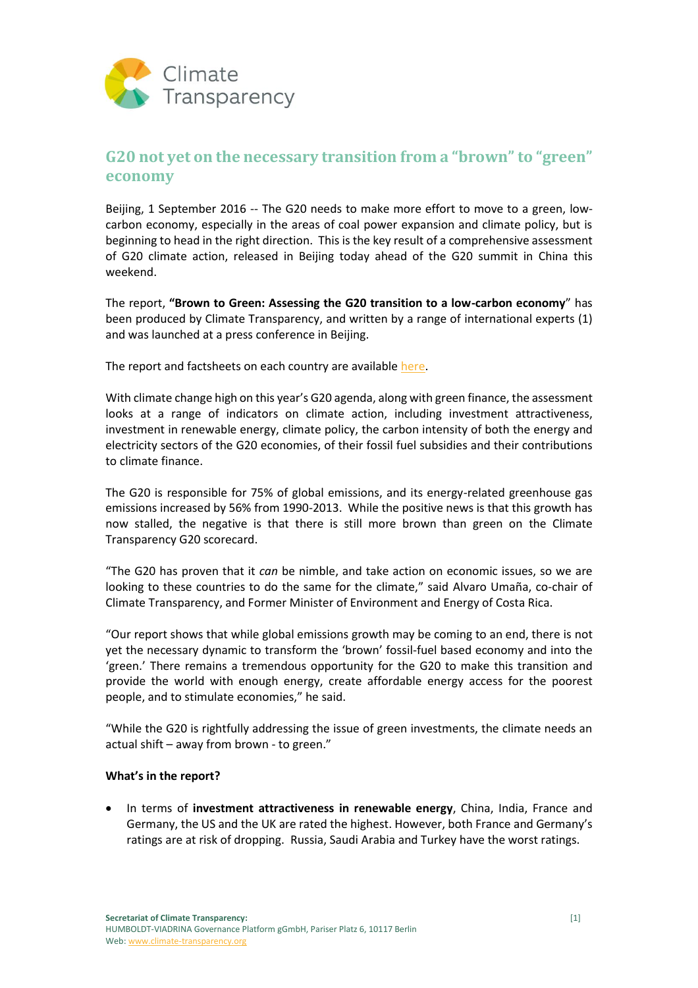

# **G20 not yet on the necessary transition from a "brown" to "green" economy**

Beijing, 1 September 2016 -- The G20 needs to make more effort to move to a green, lowcarbon economy, especially in the areas of coal power expansion and climate policy, but is beginning to head in the right direction. This is the key result of a comprehensive assessment of G20 climate action, released in Beijing today ahead of the G20 summit in China this weekend.

The report, **"Brown to Green: Assessing the G20 transition to a low-carbon economy**" has been produced by Climate Transparency, and written by a range of international experts (1) and was launched at a press conference in Beijing.

The report and factsheets on each country are availabl[e here.](http://www.climate-transparency.org/g20-climate-performance/g20report2016)

With climate change high on this year's G20 agenda, along with green finance, the assessment looks at a range of indicators on climate action, including investment attractiveness, investment in renewable energy, climate policy, the carbon intensity of both the energy and electricity sectors of the G20 economies, of their fossil fuel subsidies and their contributions to climate finance.

The G20 is responsible for 75% of global emissions, and its energy-related greenhouse gas emissions increased by 56% from 1990-2013. While the positive news is that this growth has now stalled, the negative is that there is still more brown than green on the Climate Transparency G20 scorecard.

"The G20 has proven that it *can* be nimble, and take action on economic issues, so we are looking to these countries to do the same for the climate," said Alvaro Umaña, co-chair of Climate Transparency, and Former Minister of Environment and Energy of Costa Rica.

"Our report shows that while global emissions growth may be coming to an end, there is not yet the necessary dynamic to transform the 'brown' fossil-fuel based economy and into the 'green.' There remains a tremendous opportunity for the G20 to make this transition and provide the world with enough energy, create affordable energy access for the poorest people, and to stimulate economies," he said.

"While the G20 is rightfully addressing the issue of green investments, the climate needs an actual shift – away from brown - to green."

### **What's in the report?**

 In terms of **investment attractiveness in renewable energy**, China, India, France and Germany, the US and the UK are rated the highest. However, both France and Germany's ratings are at risk of dropping. Russia, Saudi Arabia and Turkey have the worst ratings.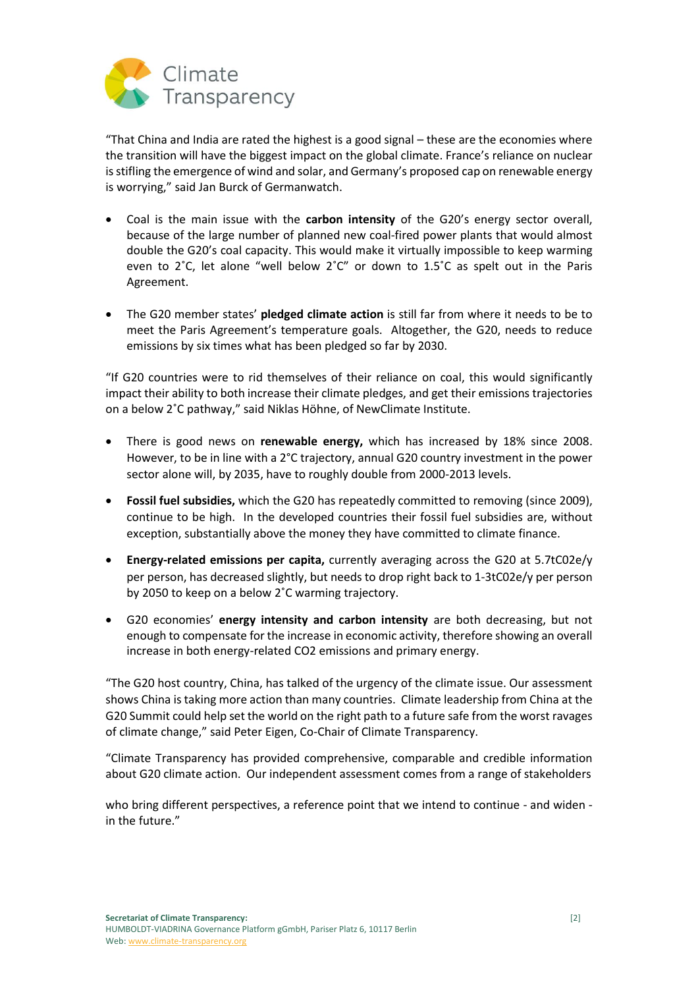

"That China and India are rated the highest is a good signal – these are the economies where the transition will have the biggest impact on the global climate. France's reliance on nuclear is stifling the emergence of wind and solar, and Germany's proposed cap on renewable energy is worrying," said Jan Burck of Germanwatch.

- Coal is the main issue with the **carbon intensity** of the G20's energy sector overall, because of the large number of planned new coal-fired power plants that would almost double the G20's coal capacity. This would make it virtually impossible to keep warming even to  $2^{\circ}$ C, let alone "well below  $2^{\circ}$ " or down to  $1.5^{\circ}$ C as spelt out in the Paris Agreement.
- The G20 member states' **pledged climate action** is still far from where it needs to be to meet the Paris Agreement's temperature goals. Altogether, the G20, needs to reduce emissions by six times what has been pledged so far by 2030.

"If G20 countries were to rid themselves of their reliance on coal, this would significantly impact their ability to both increase their climate pledges, and get their emissions trajectories on a below 2˚C pathway," said Niklas Höhne, of NewClimate Institute.

- There is good news on **renewable energy,** which has increased by 18% since 2008. However, to be in line with a 2°C trajectory, annual G20 country investment in the power sector alone will, by 2035, have to roughly double from 2000-2013 levels.
- **Fossil fuel subsidies,** which the G20 has repeatedly committed to removing (since 2009), continue to be high. In the developed countries their fossil fuel subsidies are, without exception, substantially above the money they have committed to climate finance.
- **Energy-related emissions per capita,** currently averaging across the G20 at 5.7tC02e/y per person, has decreased slightly, but needs to drop right back to 1-3tC02e/y per person by 2050 to keep on a below 2˚C warming trajectory.
- G20 economies' **energy intensity and carbon intensity** are both decreasing, but not enough to compensate for the increase in economic activity, therefore showing an overall increase in both energy-related CO2 emissions and primary energy.

"The G20 host country, China, has talked of the urgency of the climate issue. Our assessment shows China is taking more action than many countries. Climate leadership from China at the G20 Summit could help set the world on the right path to a future safe from the worst ravages of climate change," said Peter Eigen, Co-Chair of Climate Transparency.

"Climate Transparency has provided comprehensive, comparable and credible information about G20 climate action. Our independent assessment comes from a range of stakeholders

who bring different perspectives, a reference point that we intend to continue - and widen in the future."